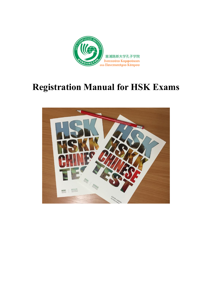

# **Registration Manual for HSK Exams**

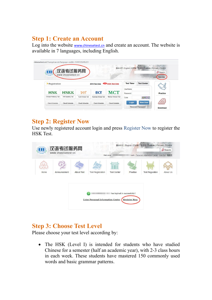### **Step 1: Create an Account**

Log into the website www.chinesetest.cn and create an account. The website is available in 7 languages, including English.

| chinesetest.cn/ChangeLan.do?languge=en&t=1599729245221 |                          |                       |                              | $\frac{1}{2}$               |                                                           |                          |
|--------------------------------------------------------|--------------------------|-----------------------|------------------------------|-----------------------------|-----------------------------------------------------------|--------------------------|
| Ш                                                      | 汉语考试服务网                  |                       |                              |                             | 简体中文   English   日本語   한국어   Français   Русский   Español | O Search                 |
| 汉考国际                                                   | www.chinesetest.cn       |                       |                              |                             |                                                           | <b>New User</b><br>Login |
|                                                        |                          |                       |                              |                             |                                                           |                          |
| Registration                                           |                          |                       | 2019 Test Date               | <b>WAVE 2020 Test Date</b>  | <b>Test Center</b><br><b>Test Taker</b>                   |                          |
|                                                        |                          |                       |                              |                             | <b>UserName</b>                                           |                          |
| <b>HSK</b>                                             | <b>HSKK</b>              | yci                   | <b>BCT</b>                   | <b>MCT</b>                  | Password                                                  | Practice                 |
| Chinese Proficiency Test                               | <b>HSK Speaking Test</b> | Youth Chinese Test    | <b>Business Chinese Test</b> | <b>Medical Chinese Test</b> | Code<br>6477                                              |                          |
| <b>Check Schedule</b>                                  | <b>Check Schedule</b>    | <b>Check Schedule</b> | <b>Check Schedule</b>        | <b>Check Schedule</b>       | <b>New User</b><br>Login                                  |                          |
|                                                        |                          |                       |                              |                             | <b>Recover Password</b>                                   |                          |

### **Step 2: Register Now**

Use newly registered account login and press Register Now to register the HSK Test.

| 汉语考试服务网<br>П<br>www.chinesetest.cn<br>7801 |                                                                                           | Welcome                                             |                                 | 简体中文   English   日本語   한국어   Français   Русский   Español<br>back, Personal Information Center Log Out 购物车 | O Search |
|--------------------------------------------|-------------------------------------------------------------------------------------------|-----------------------------------------------------|---------------------------------|------------------------------------------------------------------------------------------------------------|----------|
| Home<br>Announcement                       | <b>About Test</b><br><b>Test Registration</b><br><b>Enter Personal Information Center</b> | <b>Test Center</b><br>has logined in successfully!! | Practice<br><b>Register Now</b> | <br><b>Test Regulation</b>                                                                                 | About Us |

### **Step 3: Choose Test Level**

Please choose your test level according by:

• The HSK (Level I) is intended for students who have studied Chinese for a semester (half an academic year), with 2-3 class hours in each week. These students have mastered 150 commonly used words and basic grammar patterns.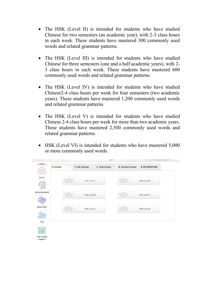- The HSK (Level II) is intended for students who have studied Chinese for two semesters (an academic year), with 2-3 class hours in each week. These students have mastered 300 commonly used words and related grammar patterns.
- The HSK (Level III) is intended for students who have studied Chinese for three semesters (one and a half academic years), with 2- 3 class hours in each week. These students have mastered 600 commonly used words and related grammar patterns.
- The HSK (Level IV) is intended for students who have studied Chinese2-4 class hours per week for four semesters (two academic years). These students have mastered 1,200 commonly used words and related grammar patterns.
- The HSK (Level V) is intended for students who have studied Chinese 2-4 class hours per week for more than two academic years. These students have mastered 2,500 commonly used words and related grammar patterns.
- HSK (Level VI) is intended for students who have mastered 5,000 or more commonly used words.

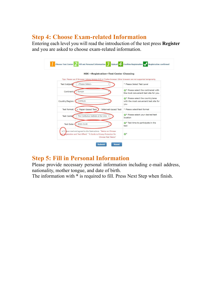### **Step 4: Choose Exam-related Information**

Entering each level you will read the introduction of the test press **Register** and you are asked to choose exam-related information.

| <b>HSK</b> --Registration--Test Center Choosing                                                                                                         |                                                                                            |
|---------------------------------------------------------------------------------------------------------------------------------------------------------|--------------------------------------------------------------------------------------------|
| Tips: Please use IE browser (above Version 6.0) or Firefox browser. Other browsers are not supported temporarily.<br>--Please Select-<br>Test Subjects: | * Please Select Test Level                                                                 |
|                                                                                                                                                         |                                                                                            |
| Europe<br>Continent:                                                                                                                                    | C <sup>*</sup> Please select the continenet with<br>the most convenient test site for you. |
|                                                                                                                                                         | <sup>*</sup> Please select the country/area                                                |
| <b>CYPRUS</b><br>Country/Region:                                                                                                                        | with the most convenient test site for<br>you                                              |
| Test format:<br>• Paper-based Test<br>Internet-based Test                                                                                               | * Please select test format                                                                |
| The Confucius Institute at the Unive<br>Test Center:                                                                                                    | <sup>*</sup> Please select your desired test<br>location                                   |
| 2020-12-06<br>Test Date:                                                                                                                                | <sup>*</sup> Test time to participate in the<br>test                                       |
| have read and agreed to the Instructions "Notice on Chinese<br>VI                                                                                       |                                                                                            |

### **Step 5: Fill in Personal Information**

Please provide necessary personal information including e-mail address, nationality, mother tongue, and date of birth.

The information with \* is required to fill. Press Next Step when finish.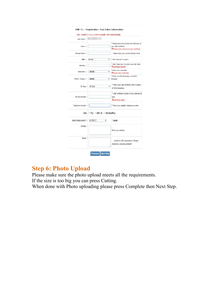|                   | 提示: 请使用IE(6.0以上)或Firefox浏览器, 暂不支持其他浏览器。 |                                                                                                                  |
|-------------------|-----------------------------------------|------------------------------------------------------------------------------------------------------------------|
| User Name:        |                                         |                                                                                                                  |
| Name:             |                                         | * Please input the surname and firstname on<br>your vald certificate<br>Please enter name as on your certificate |
| Chinese Name:     |                                         | Please input your correct Chinese name                                                                           |
| 性别:               | female                                  | * Click "Browse" to select<br>٠                                                                                  |
| Birthday:         |                                         | * Click "Input Box" to enter your birth date<br>●生日的格式有错误!                                                       |
| Nationality :     | --请选择--<br>۳                            | * Enter your nationality<br>Please select nationality                                                            |
| Mother Tongue:    | -请选择--<br>۰                             | * Enter your fisrt language, i.e.mother<br>language                                                              |
| ID Type:          | ID Card                                 | * Select your valid certificate with a number<br>۰<br>of 3-38 characters.                                        |
| ID Card Number:   |                                         | * Vald certificate number of your selected ID<br>type<br><b>UTH号为3-38位!</b>                                      |
| Telephone Number: |                                         | * Enter your available telephone number                                                                          |
|                   | 您是: ◎ 学生 ◎ 在职人员 ◎ 其他(自由职业)              |                                                                                                                  |
| 你学习汉语多长时间了:       | 6个月以下<br>۳                              | * 请选择                                                                                                            |
| Address:          |                                         | Enter your address                                                                                               |
| Notes:            |                                         | Limted to 0-50 characters or Chinese<br>characters, including symbols?                                           |

### **Step 6: Photo Upload**

Please make sure the photo upload meets all the requirements.

If the size is too big you can press Cutting.

When done with Photo uploading please press Complete then Next Step.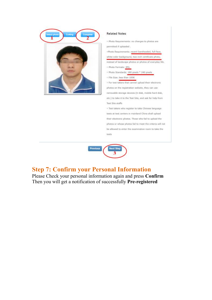

#### **Related Notes**

· Photo Requirements: no changes to photos are permitted if uploaded.

«Photo Requirements: recent bareheaded, full-face, white-color background, two-inch certificate photo, instead of landscape photos or photos of everyday life. o Photo Formats: JPG. · Photo Standards: 180 pixels \* 240 pixels · File Size: less than 100K · For test takers that cannot upload their electronic photos on the registration website, they can use

removable storage devices (U disk, mobile hard disk, etc.) to take it to the Test Site, and ask for help from Test Site staffs

· Test takers who register to take Chinese language tests at test centers in mainland China shall upload their electronic photos. Those who fail to upload the photos or whose photos fail to meet the criteria will not be allowed to enter the examination room to take the tests



### **Step 7: Confirm your Personal Information**

Please Check your personal information again and press **Confirm** Then you will get a notification of successfully **Pre-registered**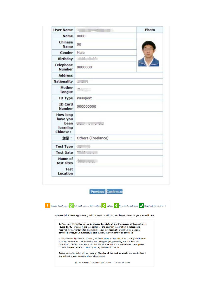| <b>User Name</b>                                                   | ÷.                                                                                                                     | Photo |  |
|--------------------------------------------------------------------|------------------------------------------------------------------------------------------------------------------------|-------|--|
| <b>Name</b>                                                        | 0000                                                                                                                   |       |  |
| <b>Chinese</b><br><b>Name</b>                                      | 00                                                                                                                     |       |  |
| Gender                                                             | Male                                                                                                                   |       |  |
| <b>Birthday</b>                                                    | 1000<br>$\mathfrak{g}$                                                                                                 |       |  |
| <b>Telephone</b><br><b>Number</b>                                  | 0000000                                                                                                                |       |  |
| <b>Address</b>                                                     |                                                                                                                        |       |  |
| <b>Nationality</b>                                                 | $\overline{\mathbb{L}}$                                                                                                |       |  |
| <b>Mother</b><br><b>Tongue</b>                                     | $\mathbb{C}$                                                                                                           |       |  |
| <b>ID Type</b>                                                     | Passport                                                                                                               |       |  |
| <b>ID Card</b><br><b>Number</b>                                    | 000000000                                                                                                              |       |  |
| <b>How long</b><br>have you<br>been<br>learning<br><b>Chinese:</b> | <b>Contact Contact Contact Contact Contact Contact Contact Contact Contact Contact Contact Contact Contact Contact</b> |       |  |
| 您是:                                                                | Others (Freelance)                                                                                                     |       |  |
| <b>Test Type</b>                                                   | <b>AND</b><br>                                                                                                         |       |  |
| <b>Test Date</b>                                                   | n.                                                                                                                     |       |  |
| <b>Name of</b><br>test sites                                       | della concerta                                                                                                         |       |  |
| <b>Test</b><br><b>Location</b>                                     |                                                                                                                        |       |  |

Previous Confirm an



Enter Personal Information Center Return to Home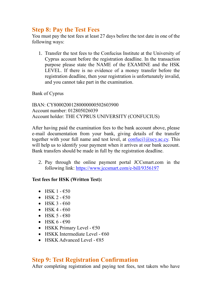### **Step 8: Pay the Test Fees**

You must pay the test fees at least 27 days before the test date in one of the following ways:

1. Transfer the test fees to the Confucius Institute at the University of Cyprus account before the registration deadline. In the transaction purpose please state the NAME of the EXAMINE and the HSK LEVEL. If there is no evidence of a money transfer before the registration deadline, then your registration is unfortunately invalid, and you cannot take part in the examination.

Bank of Cyprus

IBAN: CY80002001280000000502603900 Account number: 012805026039 Account holder: THE CYPRUS UNIVERSITY (CONFUCIUS)

After having paid the examination fees to the bank account above, please e-mail documentation from your bank, giving details of the transfer together with your full name and test level, at  $\text{confucil}(\partial \text{ucy.ac.cy})$ . This will help us to identify your payment when it arrives at our bank account. Bank transfers should be made in full by the registration deadline.

2. Pay through the online payment portal JCCsmart.com in the following link:<https://www.jccsmart.com/e-bill/9356197>

### **Test fees for HSK (Written Test):**

- HSK 1  $E$ 50
- HSK 2  $-650$
- HSK  $3 60$
- HSK 4  $\epsilon$ 60
- HSK  $5 680$
- HSK  $6 690$
- HSKK Primary Level  $€50$
- HSKK Intermediate Level  $\epsilon$ 60
- HSKK Advanced Level  $€85$

### **Step 9: Test Registration Confirmation**

After completing registration and paying test fees, test takers who have